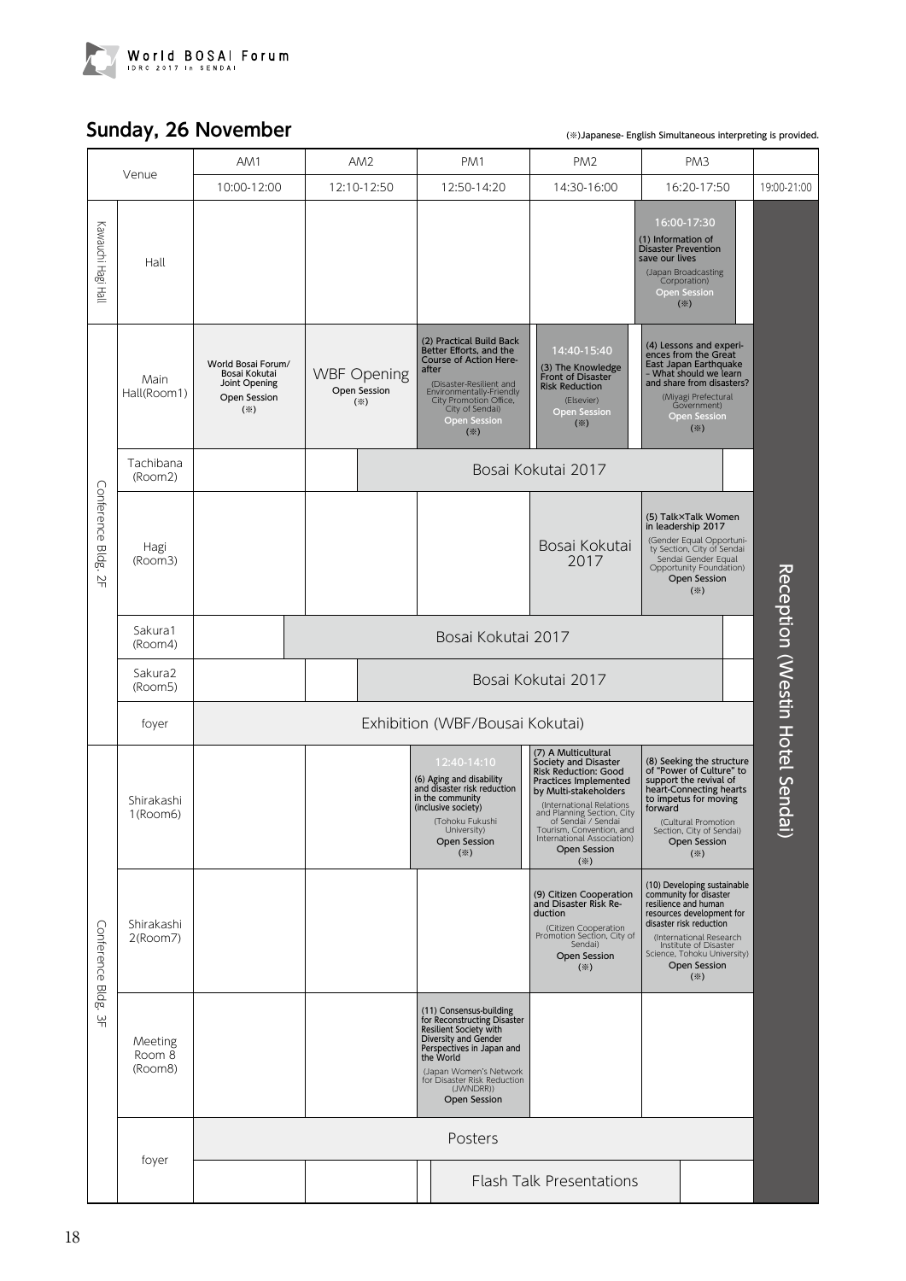

## **Sunday, 26 November**

(※)Japanese- English Simultaneous interpreting is provided.

| Venue                                    |                              | AM1                                                                                        | AM <sub>2</sub>                                          | PM1                                                                                                                                                                                                                                                    | PM <sub>2</sub>                                                                                                                                                                                                                                                                                  | PM <sub>3</sub>                                                                                                                                                                                                                                                       |  |                                |
|------------------------------------------|------------------------------|--------------------------------------------------------------------------------------------|----------------------------------------------------------|--------------------------------------------------------------------------------------------------------------------------------------------------------------------------------------------------------------------------------------------------------|--------------------------------------------------------------------------------------------------------------------------------------------------------------------------------------------------------------------------------------------------------------------------------------------------|-----------------------------------------------------------------------------------------------------------------------------------------------------------------------------------------------------------------------------------------------------------------------|--|--------------------------------|
|                                          |                              | 10:00-12:00                                                                                | 12:10-12:50                                              | 12:50-14:20                                                                                                                                                                                                                                            | 14:30-16:00                                                                                                                                                                                                                                                                                      | 16:20-17:50                                                                                                                                                                                                                                                           |  | 19:00-21:00                    |
| Kawauchi Hagi Hall                       | Hall                         |                                                                                            |                                                          |                                                                                                                                                                                                                                                        |                                                                                                                                                                                                                                                                                                  | 16:00-17:30<br>(1) Information of<br><b>Disaster Prevention</b><br>save our lives<br>(Japan Broadcasting<br>Corporation)<br><b>Open Session</b><br>$(\divideontimes)$                                                                                                 |  |                                |
| Conference Bldg.<br>$\frac{N}{T}$        | Main<br>Hall(Room1)          | World Bosai Forum/<br>Bosai Kokutai<br>Joint Opening<br>Open Session<br>$(\divideontimes)$ | <b>WBF Opening</b><br>Open Session<br>$(\divideontimes)$ | (2) Practical Build Back<br>Better Efforts, and the<br>Course of Action Here-<br>after<br>(Disaster-Resilient and<br>Environmentally-Friendly<br>City Promotion Office.<br><b>Open Session</b><br>$(\%)$                                               | 14:40-15:40<br>(3) The Knowledge<br>Front of Disaster<br><b>Risk Reduction</b><br>(Elsevier)<br><b>Open Session</b><br>$(\divideontimes)$                                                                                                                                                        | (4) Lessons and experi-<br>ences from the Great<br>East Japan Earthquake<br>- What should we learn<br>and share from disasters?<br>(Miyagi Prefectural<br>Government)<br><b>Open Session</b><br>$(\mathbb{X})$                                                        |  |                                |
|                                          | Tachibana<br>(Room2)         |                                                                                            | Bosai Kokutai 2017                                       |                                                                                                                                                                                                                                                        |                                                                                                                                                                                                                                                                                                  |                                                                                                                                                                                                                                                                       |  |                                |
|                                          | Hagi<br>(Room3)              |                                                                                            |                                                          |                                                                                                                                                                                                                                                        | Bosai Kokutai<br>2017                                                                                                                                                                                                                                                                            | (5) Talk×Talk Women<br>in leadership 2017<br>(Gender Equal Opportuni-<br>ty Section, City of Sendai<br>Sendai Gender Equal<br>Opportunity Foundation)<br><b>Open Session</b><br>$(\divideontimes)$                                                                    |  |                                |
|                                          | Sakura1<br>(Room4)           |                                                                                            | Bosai Kokutai 2017                                       |                                                                                                                                                                                                                                                        |                                                                                                                                                                                                                                                                                                  |                                                                                                                                                                                                                                                                       |  |                                |
|                                          | Sakura2<br>(Room5)           |                                                                                            | Bosai Kokutai 2017                                       |                                                                                                                                                                                                                                                        |                                                                                                                                                                                                                                                                                                  |                                                                                                                                                                                                                                                                       |  |                                |
|                                          | foyer                        | Exhibition (WBF/Bousai Kokutai)                                                            |                                                          |                                                                                                                                                                                                                                                        |                                                                                                                                                                                                                                                                                                  |                                                                                                                                                                                                                                                                       |  |                                |
| Conference Bldg.<br>$\frac{\omega}{\pi}$ | Shirakashi<br>1(Room6)       |                                                                                            |                                                          | 12:40-14:10<br>(6) Aging and disability<br>and disaster risk reduction<br>in the community<br>(inclusive society)<br>(Tohoku Fukushi<br>University)<br><b>Open Session</b><br>$(\divideontimes)$                                                       | (7) A Multicultural<br>Society and Disaster<br>Risk Reduction: Good<br>Practices Implemented<br>by Multi-stakeholders<br>(International Relations<br>and Planning Section, City<br>of Sendai / Sendai<br>Tourism, Convention, and<br>International Association)<br><b>Open Session</b><br>$(\%)$ | (8) Seeking the structure<br>of "Power of Culture" to<br>support the revival of<br>heart-Connecting hearts<br>to impetus for moving<br>forward<br>(Cultural Promotion<br>Section, City of Sendai)<br><b>Open Session</b><br>$(\divideontimes)$                        |  | Reception (Westin Hotel Sendai |
|                                          | Shirakashi<br>2(Room7)       |                                                                                            |                                                          |                                                                                                                                                                                                                                                        | (9) Citizen Cooperation<br>and Disaster Risk Re-<br>duction<br>(Citizen Cooperation<br>Promotion Section, City of<br>Sendai)<br><b>Open Session</b><br>$(\divideontimes)$                                                                                                                        | (10) Developing sustainable<br>community for disaster<br>resilience and human<br>resources development for<br>disaster risk reduction<br>(International Research<br>Institute of Disaster<br>Science, Tohoku University)<br><b>Open Session</b><br>$(\divideontimes)$ |  |                                |
|                                          | Meeting<br>Room 8<br>(Room8) |                                                                                            |                                                          | (11) Consensus-building<br>for Reconstructing Disaster<br><b>Resilient Society with</b><br>Diversity and Gender<br>Perspectives in Japan and<br>the World<br>(Japan Women's Network<br>for Disaster Risk Reduction<br>(JWNDRR))<br><b>Open Session</b> |                                                                                                                                                                                                                                                                                                  |                                                                                                                                                                                                                                                                       |  |                                |
|                                          | foyer                        | Posters                                                                                    |                                                          |                                                                                                                                                                                                                                                        |                                                                                                                                                                                                                                                                                                  |                                                                                                                                                                                                                                                                       |  |                                |
|                                          |                              |                                                                                            |                                                          |                                                                                                                                                                                                                                                        | <b>Flash Talk Presentations</b>                                                                                                                                                                                                                                                                  |                                                                                                                                                                                                                                                                       |  |                                |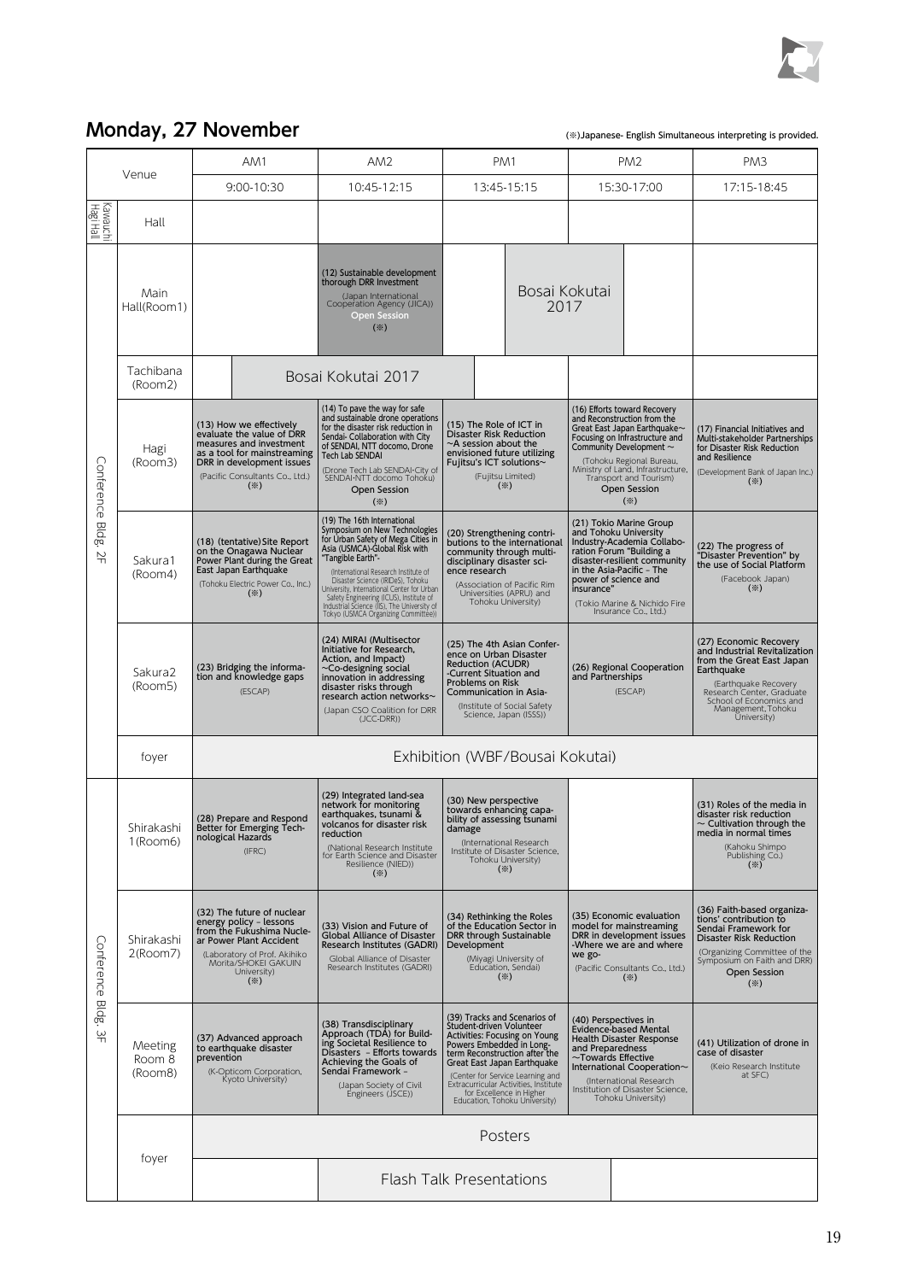

## **Monday, 27 November**

(※)Japanese- English Simultaneous interpreting is provided.

|                                          |                              | AM1                                                                                                                                                                                                        | AM2                                                                                                                                                                                                                                                                                                                                                                                                                  | PM1                                                                                                                                                                                                                                                                                                                                                                                                                                                                                                    |                       | PM <sub>2</sub>                                                                                                                                                                                                                                         | PM3                                                                                                                                                                                                                        |  |
|------------------------------------------|------------------------------|------------------------------------------------------------------------------------------------------------------------------------------------------------------------------------------------------------|----------------------------------------------------------------------------------------------------------------------------------------------------------------------------------------------------------------------------------------------------------------------------------------------------------------------------------------------------------------------------------------------------------------------|--------------------------------------------------------------------------------------------------------------------------------------------------------------------------------------------------------------------------------------------------------------------------------------------------------------------------------------------------------------------------------------------------------------------------------------------------------------------------------------------------------|-----------------------|---------------------------------------------------------------------------------------------------------------------------------------------------------------------------------------------------------------------------------------------------------|----------------------------------------------------------------------------------------------------------------------------------------------------------------------------------------------------------------------------|--|
| Venue                                    |                              | 9:00-10:30                                                                                                                                                                                                 | 10:45-12:15                                                                                                                                                                                                                                                                                                                                                                                                          | 13:45-15:15                                                                                                                                                                                                                                                                                                                                                                                                                                                                                            | 15:30-17:00           |                                                                                                                                                                                                                                                         | 17:15-18:45                                                                                                                                                                                                                |  |
| Kawauchi<br>  Hagi Hall                  | Hall                         |                                                                                                                                                                                                            |                                                                                                                                                                                                                                                                                                                                                                                                                      |                                                                                                                                                                                                                                                                                                                                                                                                                                                                                                        |                       |                                                                                                                                                                                                                                                         |                                                                                                                                                                                                                            |  |
| Conference<br>eldg.<br>$\frac{N}{T}$     | Main<br>Hall(Room1)          |                                                                                                                                                                                                            | (12) Sustainable development<br>thorough DRR Investment<br>(Japan International<br>Cooperation Agency (JICA))<br>Open Session<br>$(\divideontimes)$                                                                                                                                                                                                                                                                  |                                                                                                                                                                                                                                                                                                                                                                                                                                                                                                        | Bosai Kokutai<br>2017 |                                                                                                                                                                                                                                                         |                                                                                                                                                                                                                            |  |
|                                          | Tachibana<br>(Room2)         | Bosai Kokutai 2017                                                                                                                                                                                         |                                                                                                                                                                                                                                                                                                                                                                                                                      |                                                                                                                                                                                                                                                                                                                                                                                                                                                                                                        |                       |                                                                                                                                                                                                                                                         |                                                                                                                                                                                                                            |  |
|                                          | Hagi<br>(Room3)              | (13) How we effectively<br>evaluate the value of DRR<br>measures and investment<br>as a tool for mainstreaming<br>DRR in development issues<br>(Pacific Consultants Co., Ltd.)<br>$(\divideontimes)$       | (14) To pave the way for safe<br>and sustainable drone operations<br>for the disaster risk reduction in<br>Sendai- Collaboration with City<br>of SENDAI, NTT docomo, Drone<br><b>Tech Lab SENDAI</b><br>(Drone Tech Lab SENDAI-City of<br>SENDAI NTT docomo Tohoku)<br><b>Open Session</b><br>$(\divideontimes)$                                                                                                     | (16) Efforts toward Recovery<br>and Reconstruction from the<br>(15) The Role of ICT in<br>Great East Japan Earthquake~<br><b>Disaster Risk Reduction</b><br>Focusing on Infrastructure and<br>$\sim$ A session about the<br>Community Development $\sim$<br>envisioned future utilizing<br>(Tohoku Regional Bureau,<br>Fujitsu's ICT solutions~<br>Ministry of Land, Infrastructure,<br>(Fujitsu Limited)<br>Transport and Tourism)<br>$(\divideontimes)$<br><b>Open Session</b><br>$(\divideontimes)$ |                       |                                                                                                                                                                                                                                                         | (17) Financial Initiatives and<br>Multi-stakeholder Partnerships<br>for Disaster Risk Reduction<br>and Resilience<br>(Development Bank of Japan Inc.)<br>$(\divideontimes)$                                                |  |
|                                          | Sakura1<br>(Room4)           | (18) (tentative) Site Report<br>on the Onagawa Nuclear<br>Power Plant during the Great<br>East Japan Earthquake<br>(Tohoku Electric Power Co., Inc.)<br>$(\divideontimes)$                                 | (19) The 16th International<br>Symposium on New Technologies<br>for Urban Safety of Mega Cities in<br>Asia (USMCA)-Global Risk with<br>"Tangible Earth"-<br>(International Research Institute of<br>Disaster Science (IRIDeS), Tohoku<br>University, International Center for Urban<br>Safety Engineering (ICUS), Institute of<br>Industrial Science (IIS). The University of<br>Tokyo (USMCA Organizing Committée)) | (20) Strengthening contri-<br>butions to the international<br>community through multi-<br>disciplinary disaster sci-<br>ence research<br>(Association of Pacific Rim<br>Universities (APRU) and<br>Tohoku University)                                                                                                                                                                                                                                                                                  | insurance"            | (21) Tokio Marine Group<br>and Tohoku University<br>Industry-Academia Collabo-<br>ration Forum "Building a<br>disaster-resilient community<br>in the Asia-Pacific - The<br>power of science and<br>(Tokio Marine & Nichido Fire<br>Insurance Co., Ltd.) | (22) The progress of<br>"Disaster Prevention" by<br>the use of Social Platform<br>(Facebook Japan)<br>$(\divideontimes)$                                                                                                   |  |
|                                          | Sakura2<br>(Room5)           | (23) Bridging the informa-<br>tion and knowledge gaps<br>(ESCAP)                                                                                                                                           | (24) MIRAI (Multisector<br>Initiative for Research,<br>Action, and Impact)<br>~Co-designing social<br>innovation in addressing<br>disaster risks through<br>research action networks~<br>(Japan CSO Coalition for DRR<br>$(JCC-DRR)$                                                                                                                                                                                 | (25) The 4th Asian Confer-<br>ence on Urban Disaster<br>Reduction (ACUDR)<br>-Current Situation and<br>Problems on Risk<br>Communication in Asia-<br>(Institute of Social Safety<br>Science, Japan (ISSS))                                                                                                                                                                                                                                                                                             |                       | (26) Regional Cooperation<br>and Partnerships<br>(ESCAP)                                                                                                                                                                                                | (27) Economic Recovery<br>and Industrial Revitalization<br>from the Great East Japan<br>Earthquake<br>(Earthquake Recovery<br>Research Center, Graduate<br>School of Economics and<br>Management, Tohoku<br>Üniversity)    |  |
|                                          | foyer                        | Exhibition (WBF/Bousai Kokutai)                                                                                                                                                                            |                                                                                                                                                                                                                                                                                                                                                                                                                      |                                                                                                                                                                                                                                                                                                                                                                                                                                                                                                        |                       |                                                                                                                                                                                                                                                         |                                                                                                                                                                                                                            |  |
| Conference Bldg.<br>$\frac{\omega}{\pi}$ | Shirakashi<br>1(Room6)       | (28) Prepare and Respond<br>Better for Emerging Tech-<br>nological Hazards<br>(IFRC)                                                                                                                       | (29) Integrated land-sea<br>network for monitoring<br>earthquakes, tsunami &<br>volcanos for disaster risk<br>reguction<br>(National Research Institute<br>for Earth Science and Disaster<br>Resilience (NIED))<br>$(\divideontimes)$                                                                                                                                                                                | (30) New perspective<br>towards enhancing capa-<br>bility of assessing tsunami<br>damage<br>(International Research<br>Institute of Disaster Science,<br>Tohoku University)<br>$(\%)$                                                                                                                                                                                                                                                                                                                  |                       |                                                                                                                                                                                                                                                         | (31) Roles of the media in<br>disaster risk reduction<br>$\sim$ Cultivation through the<br>media in normal times<br>(Kahoku Shimpo<br>Publishing Co.)<br>$(\divideontimes)$                                                |  |
|                                          | Shirakashi<br>2(Room7)       | (32) The future of nuclear<br>energy policy - lessons<br>from the Fukushima Nucle-<br>ar Power Plant Accident<br>(Laboratory of Prof. Akihiko<br>Morita/SHOKEI GAKUIN<br>University)<br>$(\divideontimes)$ | (33) Vision and Future of<br><b>Global Alliance of Disaster</b><br>Research Institutes (GADRI)<br>Global Alliance of Disaster<br>Research Institutes (GADRI)                                                                                                                                                                                                                                                         | (34) Rethinking the Roles<br>of the Education Sector in<br>DRR through Sustainable<br>Development<br>(Miyagi University of<br>Education, Sendai)<br>$(\%)$                                                                                                                                                                                                                                                                                                                                             | we go-                | (35) Economic evaluation<br>model for mainstreaming<br>DRR in development issues<br>-Where we are and where<br>(Pacific Consultants Co., Ltd.)<br>$(\divideontimes)$                                                                                    | (36) Faith-based organiza-<br>tions' contribution to<br>Sendai Framework for<br><b>Disaster Risk Reduction</b><br>(Organizing Committee of the<br>Symposium on Faith and DRR)<br><b>Open Session</b><br>$(\divideontimes)$ |  |
|                                          | Meeting<br>Room 8<br>(Room8) | (37) Advanced approach<br>to earthquake disaster<br>prevention<br>(K-Opticom Corporation,<br>Kyoto University)                                                                                             | (38) Transdisciplinary<br>Approach (TDA) for Build-<br>ing Societal Resilience to<br>Disasters - Efforts towards<br>Achieving the Goals of<br>Sendai Framework -<br>(Japan Society of Civil<br>Engineers (JSCE))                                                                                                                                                                                                     | (39) Tracks and Scenarios of<br>Student-driven Volunteer<br>Activities: Focusing on Young<br>Powers Embedded in Long-<br>term Reconstruction after the<br>Great East Japan Earthquake<br>(Center for Service Learning and<br>Extracurricular Activities, Institute<br>for Excellence in Higher<br>Education, Tohoku University)                                                                                                                                                                        |                       | (40) Perspectives in<br>Evidence-based Mental<br><b>Health Disaster Response</b><br>and Preparedness<br>$\sim$ Towards Effective<br>International Cooperation~<br>(International Research<br>Institution of Disaster Science,<br>Tohoku University)     | (41) Utilization of drone in<br>case of disaster<br>(Keio Research Institute<br>at SFC)                                                                                                                                    |  |
|                                          | foyer                        | Posters                                                                                                                                                                                                    |                                                                                                                                                                                                                                                                                                                                                                                                                      |                                                                                                                                                                                                                                                                                                                                                                                                                                                                                                        |                       |                                                                                                                                                                                                                                                         |                                                                                                                                                                                                                            |  |
|                                          |                              |                                                                                                                                                                                                            |                                                                                                                                                                                                                                                                                                                                                                                                                      | <b>Flash Talk Presentations</b>                                                                                                                                                                                                                                                                                                                                                                                                                                                                        |                       |                                                                                                                                                                                                                                                         |                                                                                                                                                                                                                            |  |